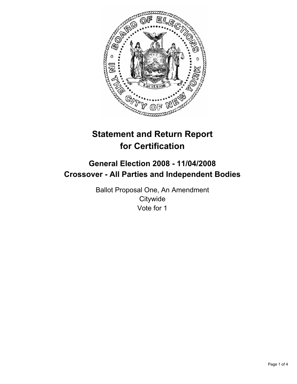

# **Statement and Return Report for Certification**

## **General Election 2008 - 11/04/2008 Crossover - All Parties and Independent Bodies**

Ballot Proposal One, An Amendment **Citywide** Vote for 1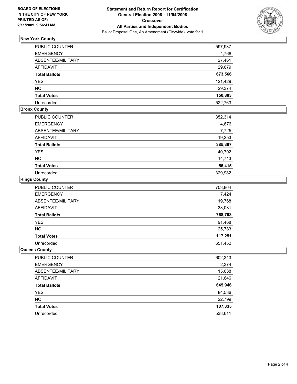

### **New York County**

| PUBLIC COUNTER       | 597,937 |
|----------------------|---------|
| <b>EMERGENCY</b>     | 4,768   |
| ABSENTEE/MILITARY    | 27,461  |
| <b>AFFIDAVIT</b>     | 29,679  |
| <b>Total Ballots</b> | 673,566 |
| <b>YES</b>           | 121,429 |
| <b>NO</b>            | 29,374  |
| <b>Total Votes</b>   | 150,803 |
| Unrecorded           | 522,763 |

#### **Bronx County**

| PUBLIC COUNTER           | 352,314 |
|--------------------------|---------|
| <b>EMERGENCY</b>         | 4,676   |
| <b>ABSENTEE/MILITARY</b> | 7,725   |
| <b>AFFIDAVIT</b>         | 19,253  |
| <b>Total Ballots</b>     | 385,397 |
| <b>YES</b>               | 40,702  |
| <b>NO</b>                | 14,713  |
| <b>Total Votes</b>       | 55,415  |
| Unrecorded               | 329,982 |

#### **Kings County**

| PUBLIC COUNTER       | 703,864 |
|----------------------|---------|
| <b>EMERGENCY</b>     | 7,424   |
| ABSENTEE/MILITARY    | 19,768  |
| AFFIDAVIT            | 33,031  |
| <b>Total Ballots</b> | 768,703 |
| YES                  | 91,468  |
| <b>NO</b>            | 25,783  |
| <b>Total Votes</b>   | 117,251 |
| Unrecorded           | 651,452 |

#### **Queens County**

| PUBLIC COUNTER       | 602,343 |
|----------------------|---------|
| <b>EMERGENCY</b>     | 2,374   |
| ABSENTEE/MILITARY    | 15,638  |
| <b>AFFIDAVIT</b>     | 21,646  |
| <b>Total Ballots</b> | 645,946 |
| YES                  | 84,536  |
| <b>NO</b>            | 22,799  |
| <b>Total Votes</b>   | 107,335 |
| Unrecorded           | 538,611 |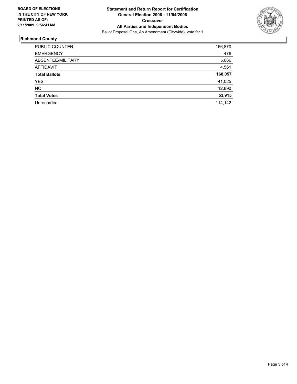

#### **Richmond County**

| <b>PUBLIC COUNTER</b> | 156,870 |
|-----------------------|---------|
| <b>EMERGENCY</b>      | 476     |
| ABSENTEE/MILITARY     | 5,666   |
| <b>AFFIDAVIT</b>      | 4,561   |
| <b>Total Ballots</b>  | 168,057 |
| YES.                  | 41,025  |
| <b>NO</b>             | 12,890  |
| <b>Total Votes</b>    | 53,915  |
| Unrecorded            | 114,142 |